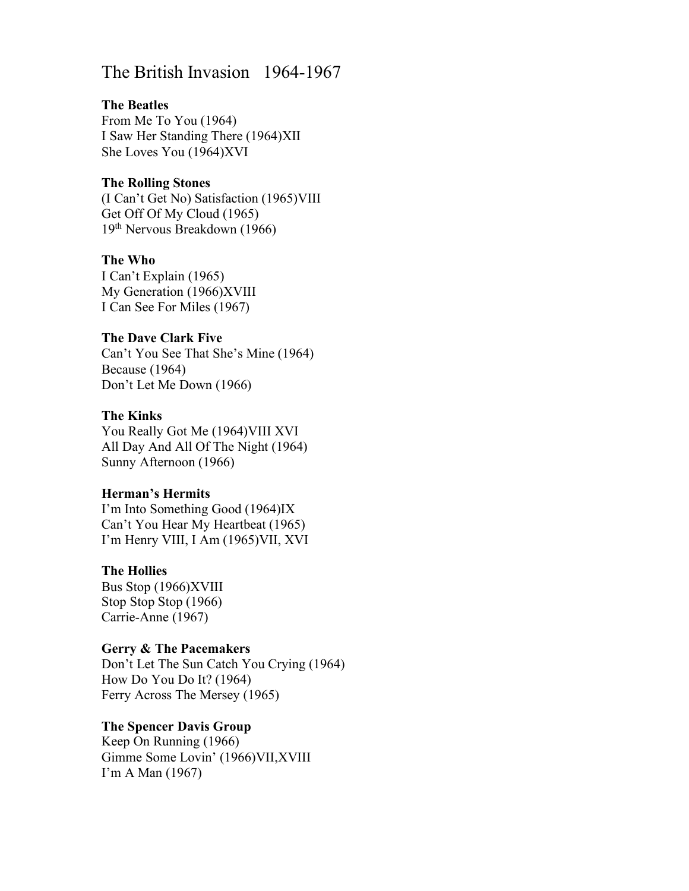# The British Invasion 1964-1967

#### The Beatles

From Me To You (1964) I Saw Her Standing There (1964)XII She Loves You (1964)XVI

#### The Rolling Stones

(I Can't Get No) Satisfaction (1965)VIII Get Off Of My Cloud (1965) 19th Nervous Breakdown (1966)

#### The Who

I Can't Explain (1965) My Generation (1966)XVIII I Can See For Miles (1967)

#### The Dave Clark Five

Can't You See That She's Mine (1964) Because (1964) Don't Let Me Down (1966)

#### The Kinks

You Really Got Me (1964)VIII XVI All Day And All Of The Night (1964) Sunny Afternoon (1966)

#### Herman's Hermits

I'm Into Something Good (1964)IX Can't You Hear My Heartbeat (1965) I'm Henry VIII, I Am (1965)VII, XVI

#### The Hollies

Bus Stop (1966)XVIII Stop Stop Stop (1966) Carrie-Anne (1967)

#### Gerry & The Pacemakers

Don't Let The Sun Catch You Crying (1964) How Do You Do It? (1964) Ferry Across The Mersey (1965)

# The Spencer Davis Group

Keep On Running (1966) Gimme Some Lovin' (1966)VII,XVIII I'm A Man (1967)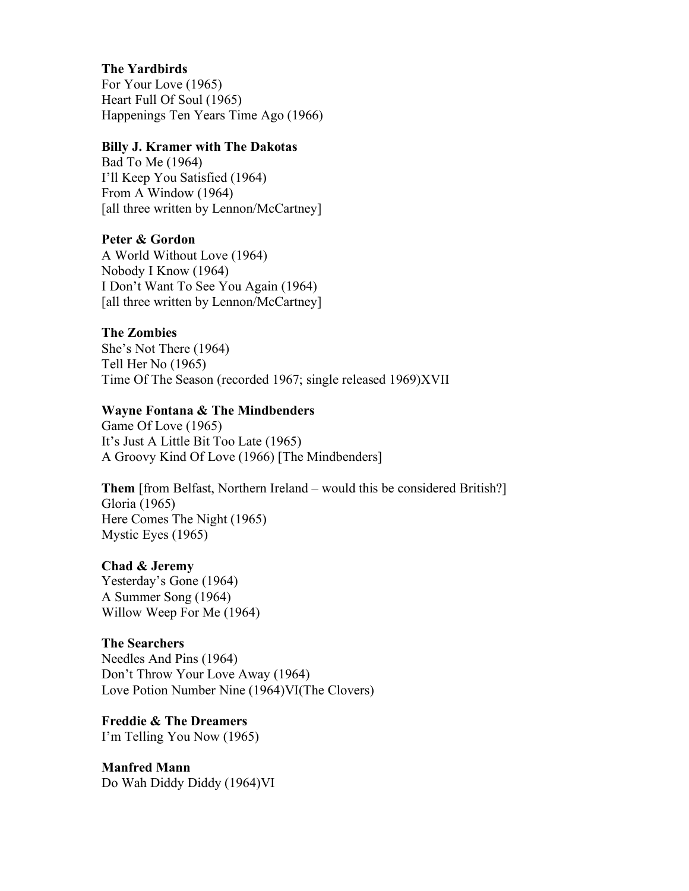## The Yardbirds

For Your Love (1965) Heart Full Of Soul (1965) Happenings Ten Years Time Ago (1966)

#### Billy J. Kramer with The Dakotas

Bad To Me (1964) I'll Keep You Satisfied (1964) From A Window (1964) [all three written by Lennon/McCartney]

#### Peter & Gordon

A World Without Love (1964) Nobody I Know (1964) I Don't Want To See You Again (1964) [all three written by Lennon/McCartney]

#### The Zombies

She's Not There (1964) Tell Her No (1965) Time Of The Season (recorded 1967; single released 1969)XVII

#### Wayne Fontana & The Mindbenders

Game Of Love (1965) It's Just A Little Bit Too Late (1965) A Groovy Kind Of Love (1966) [The Mindbenders]

Them [from Belfast, Northern Ireland – would this be considered British?] Gloria (1965) Here Comes The Night (1965) Mystic Eyes (1965)

#### Chad & Jeremy

Yesterday's Gone (1964) A Summer Song (1964) Willow Weep For Me (1964)

#### The Searchers

Needles And Pins (1964) Don't Throw Your Love Away (1964) Love Potion Number Nine (1964)VI(The Clovers)

Freddie & The Dreamers I'm Telling You Now (1965)

Manfred Mann Do Wah Diddy Diddy (1964)VI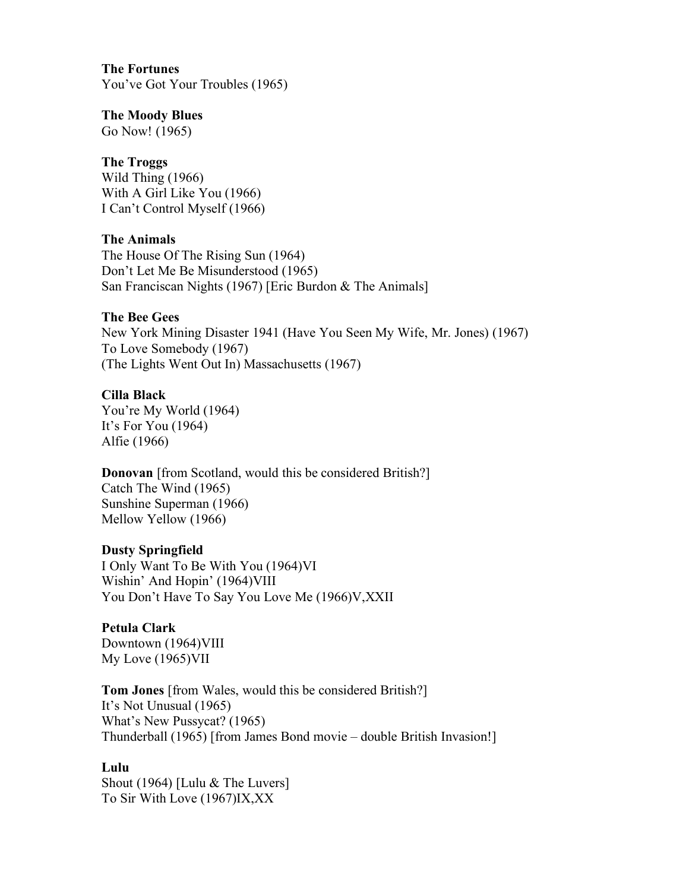## The Fortunes

You've Got Your Troubles (1965)

#### The Moody Blues

Go Now! (1965)

# The Troggs

Wild Thing (1966) With A Girl Like You (1966) I Can't Control Myself (1966)

## The Animals

The House Of The Rising Sun (1964) Don't Let Me Be Misunderstood (1965) San Franciscan Nights (1967) [Eric Burdon & The Animals]

## The Bee Gees

New York Mining Disaster 1941 (Have You Seen My Wife, Mr. Jones) (1967) To Love Somebody (1967) (The Lights Went Out In) Massachusetts (1967)

## Cilla Black

You're My World (1964) It's For You (1964) Alfie (1966)

# **Donovan** [from Scotland, would this be considered British?]

Catch The Wind (1965) Sunshine Superman (1966) Mellow Yellow (1966)

# Dusty Springfield

I Only Want To Be With You (1964)VI Wishin' And Hopin' (1964)VIII You Don't Have To Say You Love Me (1966)V,XXII

# Petula Clark

Downtown (1964)VIII My Love (1965)VII

Tom Jones [from Wales, would this be considered British?] It's Not Unusual (1965) What's New Pussycat? (1965) Thunderball (1965) [from James Bond movie – double British Invasion!]

# Lulu

Shout (1964) [Lulu & The Luvers] To Sir With Love (1967)IX,XX